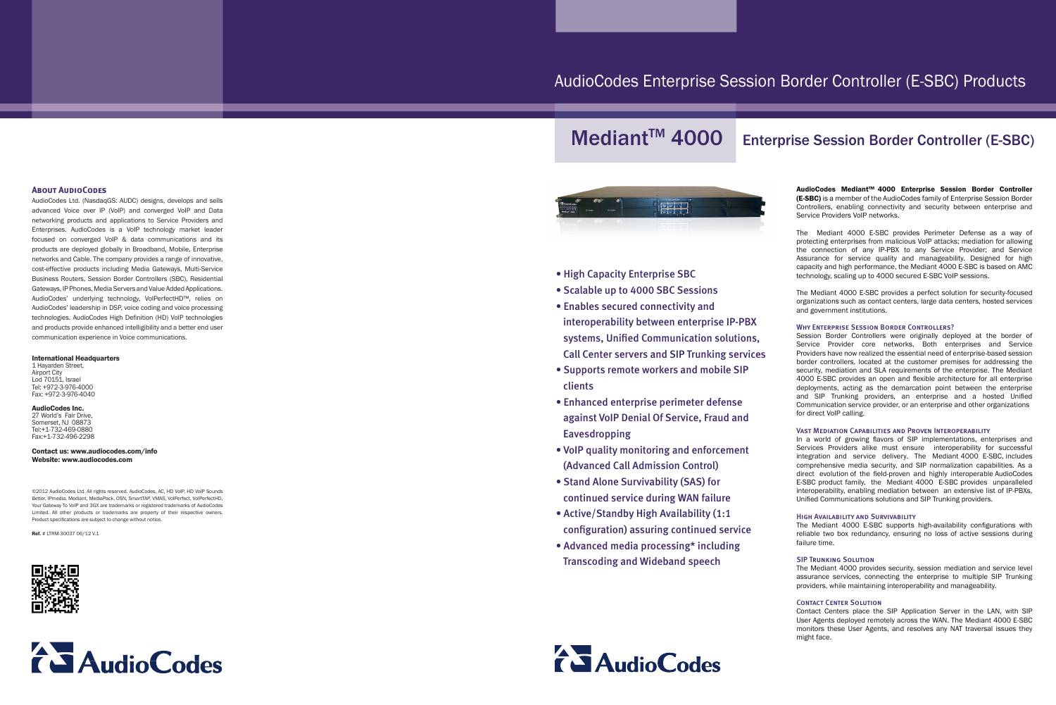## AudioCodes Enterprise Session Border Controller (E-SBC) Products





- High Capacity Enterprise SBC
- Scalable up to 4000 SBC Sessions
- Enables secured connectivity and interoperability between enterprise IP-PBX systems, Unified Communication solutions, Call Center servers and SIP Trunking services
- Supports remote workers and mobile SIP clients
- Enhanced enterprise perimeter defense against VoIP Denial Of Service, Fraud and **Eavesdropping**
- VoIP quality monitoring and enforcement (Advanced Call Admission Control)
- Stand Alone Survivability (SAS) for continued service during WAN failure
- Active/Standby High Availability (1:1) configuration) assuring continued service
- Advanced media processing\* including **Transcoding and Wideband speech**



### **ABOUT AUDIOCODES**

AudioCodes Ltd. (NasdaqGS: AUDC) designs, develops and sells advanced Voice over IP (VoIP) and converged VoIP and Data networking products and applications to Service Providers and Enterprises. AudioCodes is a VoIP technology market leader focused on converged VoIP & data communications and its products are deployed globally in Broadband, Mobile, Enterprise networks and Cable. The company provides a range of innovative. cost-effective products including Media Gateways, Multi-Service Business Routers, Session Border Controllers (SBC), Residential Gateways, IP Phones, Media Servers and Value Added Applications. AudioCodes' underlying technology, VoIPerfectHD™, relies on AudioCodes' leadership in DSP, voice coding and voice processing technologies. AudioCodes High Definition (HD) VoIP technologies and products provide enhanced intelligibility and a better end user communication experience in Voice communications.

#### **International Headquarters**

1 Hayarden Street, Airport City Lod 70151, Israel Tel: +972-3-976-4000 Fax: +972-3-976-4040

#### AudioCodes Inc.

27 World's Fair Drive Somerset, NJ 08873 Tel:+1-732-469-0880 Fax:+1-732-496-2298

Contact us: www.audiocodes.com/info Website: www.audiocodes.com

©2012 AudioCodes Ltd. All rights reserved. AudioCodes. AC. HD VoIP. HD VoIP Sounds Better, IPmedia, Mediant, MediaPack, OSN, SmartTAP, VMAS, VolPerfect, VolPerfectHD Your Gateway To VoIP and 3GX are trademarks or registered trademarks of AudioCodes Limited. All other products or trademarks are property of their respective owners Product specifications are subject to change without notice.

 $Ref. # ITRM-3003706/12 V1$ 





# Mediant<sup>™</sup> 4000 Enterprise Session Border Controller (E-SBC)

AudioCodes Mediant™ 4000 Enterprise Session Border Controller (E-SBC) is a member of the AudioCodes family of Enterprise Session Border Controllers, enabling connectivity and security between enterprise and Service Providers VoIP networks.

The Mediant 4000 E-SBC provides Perimeter Defense as a way of protecting enterprises from malicious VoIP attacks; mediation for allowing the connection of any IP-PBX to any Service Provider; and Service Assurance for service quality and manageability. Designed for high capacity and high performance, the Mediant 4000 E-SBC is based on AMC technology, scaling up to 4000 secured E-SBC VoIP sessions.

The Mediant 4000 E-SBC provides a perfect solution for security-focused organizations such as contact centers, large data centers, hosted services and government institutions.

#### WHY ENTERPRISE SESSION BORDER CONTROLLERS?

Session Border Controllers were originally deployed at the border of Service Provider core networks. Both enterprises and Service Providers have now realized the essential need of enterprise-based session the addressing the customer premises for addressing the border controllers. located at the customer premises for addressing the security, mediation and SLA requirements of the enterprise. The Mediant 4000 E-SBC provides an open and flexible architecture for all enterprise deployments, acting as the demarcation point between the enterprise and SIP Trunking providers, an enterprise and a hosted Unified Communication service provider, or an enterprise and other organizations for direct VoIP calling.

#### VAST MEDIATION CAPABILITIES AND PROVEN INTEROPERABILITY

In a world of growing flavors of SIP implementations, enterprises and Services Providers alike must ensure interoperability for successful integration and service delivery. The Mediant 4000 E-SBC includes comprehensive media security, and SIP normalization capabilities. As a direct evolution of the field-proven and highly interoperable AudioCodes E-SBC product family, the Mediant 4000 E-SBC provides unparalleled interoperability, enabling mediation between an extensive list of IP-PBXs, Unified Communications solutions and SIP Trunking providers.

#### **HIGH AVAILABILITY AND SURVIVABILITY**

The Mediant 4000 E-SBC supports high-availability configurations with reliable two box redundancy, ensuring no loss of active sessions during failure time.

#### **SIP TRUNKING SOLUTION**

The Mediant 4000 provides security, session mediation and service level assurance services, connecting the enterprise to multiple SIP Trunking providers, while maintaining interoperability and manageability.

#### **CONTACT CENTER SOLUTION**

Contact Centers place the SIP Application Server in the LAN, with SIP User Agents deployed remotely across the WAN. The Mediant 4000 E-SBC monitors these User Agents, and resolves any NAT traversal issues they might face.